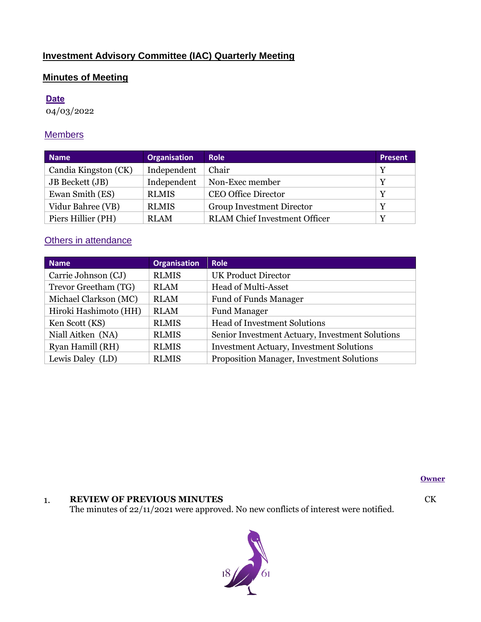# **Investment Advisory Committee (IAC) Quarterly Meeting**

# **Minutes of Meeting**

## **Date**

04/03/2022

# **Members**

| <b>Name</b>            | <b>Organisation</b> | <b>Role</b>                          | <b>Present</b> |
|------------------------|---------------------|--------------------------------------|----------------|
| Candia Kingston (CK)   | Independent         | Chair                                | Y              |
| <b>JB</b> Beckett (JB) | Independent         | Non-Exec member                      | Y              |
| Ewan Smith (ES)        | <b>RLMIS</b>        | <b>CEO Office Director</b>           | Y              |
| Vidur Bahree (VB)      | <b>RLMIS</b>        | <b>Group Investment Director</b>     | Y              |
| Piers Hillier (PH)     | <b>RLAM</b>         | <b>RLAM</b> Chief Investment Officer | Y              |

# **Others in attendance**

| <b>Name</b>           | <b>Organisation</b> | <b>Role</b>                                     |  |
|-----------------------|---------------------|-------------------------------------------------|--|
| Carrie Johnson (CJ)   | <b>RLMIS</b>        | <b>UK Product Director</b>                      |  |
| Trevor Greetham (TG)  | <b>RLAM</b>         | <b>Head of Multi-Asset</b>                      |  |
| Michael Clarkson (MC) | <b>RLAM</b>         | <b>Fund of Funds Manager</b>                    |  |
| Hiroki Hashimoto (HH) | <b>RLAM</b>         | <b>Fund Manager</b>                             |  |
| Ken Scott (KS)        | <b>RLMIS</b>        | Head of Investment Solutions                    |  |
| Niall Aitken (NA)     | <b>RLMIS</b>        | Senior Investment Actuary, Investment Solutions |  |
| Ryan Hamill (RH)      | <b>RLMIS</b>        | <b>Investment Actuary, Investment Solutions</b> |  |
| Lewis Daley (LD)      | <b>RLMIS</b>        | Proposition Manager, Investment Solutions       |  |

**Owner**

# 1. **REVIEW OF PREVIOUS MINUTES**

The minutes of 22/11/2021 were approved. No new conflicts of interest were notified.



CK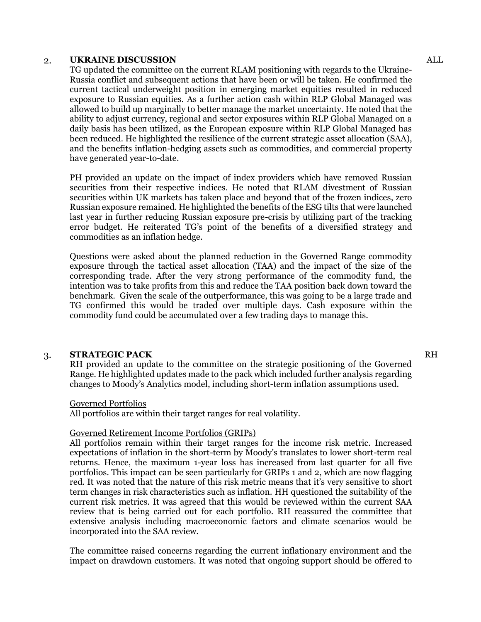#### 2. **UKRAINE DISCUSSION**

TG updated the committee on the current RLAM positioning with regards to the Ukraine-Russia conflict and subsequent actions that have been or will be taken. He confirmed the current tactical underweight position in emerging market equities resulted in reduced exposure to Russian equities. As a further action cash within RLP Global Managed was allowed to build up marginally to better manage the market uncertainty. He noted that the ability to adjust currency, regional and sector exposures within RLP Global Managed on a daily basis has been utilized, as the European exposure within RLP Global Managed has been reduced. He highlighted the resilience of the current strategic asset allocation (SAA), and the benefits inflation-hedging assets such as commodities, and commercial property have generated year-to-date.

PH provided an update on the impact of index providers which have removed Russian securities from their respective indices. He noted that RLAM divestment of Russian securities within UK markets has taken place and beyond that of the frozen indices, zero Russian exposure remained. He highlighted the benefits of the ESG tilts that were launched last year in further reducing Russian exposure pre-crisis by utilizing part of the tracking error budget. He reiterated TG's point of the benefits of a diversified strategy and commodities as an inflation hedge.

Questions were asked about the planned reduction in the Governed Range commodity exposure through the tactical asset allocation (TAA) and the impact of the size of the corresponding trade. After the very strong performance of the commodity fund, the intention was to take profits from this and reduce the TAA position back down toward the benchmark. Given the scale of the outperformance, this was going to be a large trade and TG confirmed this would be traded over multiple days. Cash exposure within the commodity fund could be accumulated over a few trading days to manage this.

## 3. **STRATEGIC PACK**

RH provided an update to the committee on the strategic positioning of the Governed Range. He highlighted updates made to the pack which included further analysis regarding changes to Moody's Analytics model, including short-term inflation assumptions used.

#### Governed Portfolios

All portfolios are within their target ranges for real volatility.

#### Governed Retirement Income Portfolios (GRIPs)

All portfolios remain within their target ranges for the income risk metric. Increased expectations of inflation in the short-term by Moody's translates to lower short-term real returns. Hence, the maximum 1-year loss has increased from last quarter for all five portfolios. This impact can be seen particularly for GRIPs 1 and 2, which are now flagging red. It was noted that the nature of this risk metric means that it's very sensitive to short term changes in risk characteristics such as inflation. HH questioned the suitability of the current risk metrics. It was agreed that this would be reviewed within the current SAA review that is being carried out for each portfolio. RH reassured the committee that extensive analysis including macroeconomic factors and climate scenarios would be incorporated into the SAA review.

The committee raised concerns regarding the current inflationary environment and the impact on drawdown customers. It was noted that ongoing support should be offered to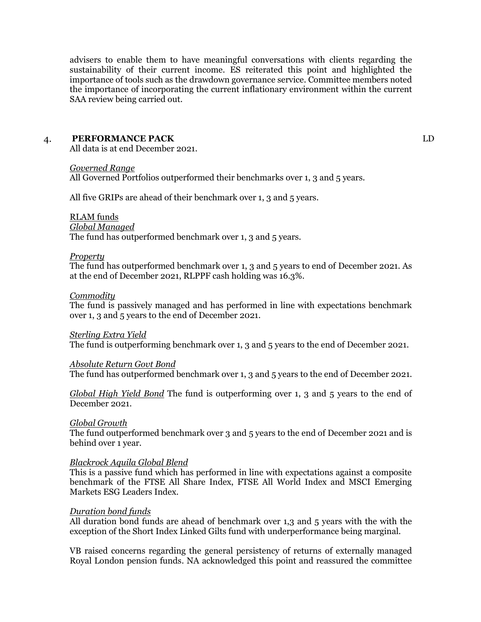advisers to enable them to have meaningful conversations with clients regarding the sustainability of their current income. ES reiterated this point and highlighted the importance of tools such as the drawdown governance service. Committee members noted the importance of incorporating the current inflationary environment within the current SAA review being carried out.

## 4. **PERFORMANCE PACK**

All data is at end December 2021.

#### *Governed Range*

All Governed Portfolios outperformed their benchmarks over 1, 3 and 5 years.

All five GRIPs are ahead of their benchmark over 1, 3 and 5 years.

### RLAM funds

#### *Global Managed*

The fund has outperformed benchmark over 1, 3 and 5 years.

#### *Property*

The fund has outperformed benchmark over 1, 3 and 5 years to end of December 2021. As at the end of December 2021, RLPPF cash holding was 16.3%.

### *Commodity*

The fund is passively managed and has performed in line with expectations benchmark over 1, 3 and 5 years to the end of December 2021.

#### *Sterling Extra Yield*

The fund is outperforming benchmark over 1, 3 and 5 years to the end of December 2021.

### *Absolute Return Govt Bond*

The fund has outperformed benchmark over 1, 3 and 5 years to the end of December 2021.

*Global High Yield Bond* The fund is outperforming over 1, 3 and 5 years to the end of December 2021.

### *Global Growth*

The fund outperformed benchmark over 3 and 5 years to the end of December 2021 and is behind over 1 year.

### *Blackrock Aquila Global Blend*

This is a passive fund which has performed in line with expectations against a composite benchmark of the FTSE All Share Index, FTSE All World Index and MSCI Emerging Markets ESG Leaders Index.

### *Duration bond funds*

All duration bond funds are ahead of benchmark over 1,3 and 5 years with the with the exception of the Short Index Linked Gilts fund with underperformance being marginal.

VB raised concerns regarding the general persistency of returns of externally managed Royal London pension funds. NA acknowledged this point and reassured the committee